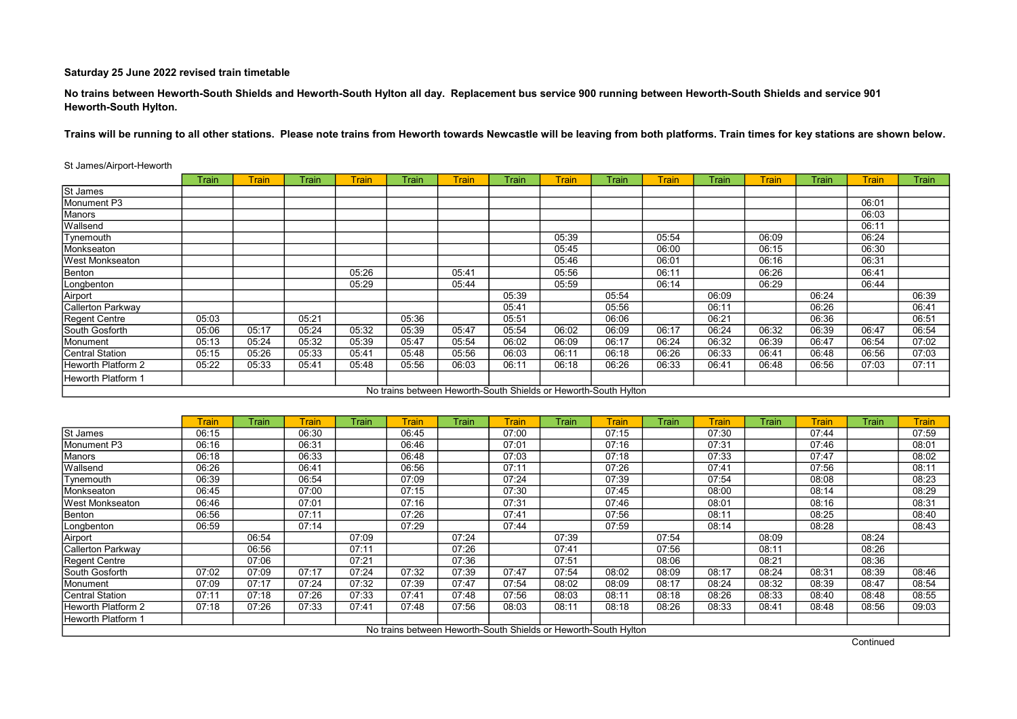No trains between Heworth-South Shields and Heworth-South Hylton all day. Replacement bus service 900 running between Heworth-South Shields and service 901 Heworth-South Hylton.

Trains will be running to all other stations. Please note trains from Heworth towards Newcastle will be leaving from both platforms. Train times for key stations are shown below.

|                           | Train | <b>Train</b> | <b>Train</b> | <b>Train</b> | <b>Train</b> | <b>Train</b> | Train | <b>Train</b> | Train                                                           | <b>Train</b> | Train | <b>Train</b> | Train | <b>Train</b> | <b>Train</b> |
|---------------------------|-------|--------------|--------------|--------------|--------------|--------------|-------|--------------|-----------------------------------------------------------------|--------------|-------|--------------|-------|--------------|--------------|
| St James                  |       |              |              |              |              |              |       |              |                                                                 |              |       |              |       |              |              |
| Monument P3               |       |              |              |              |              |              |       |              |                                                                 |              |       |              |       | 06:01        |              |
| Manors                    |       |              |              |              |              |              |       |              |                                                                 |              |       |              |       | 06:03        |              |
| Wallsend                  |       |              |              |              |              |              |       |              |                                                                 |              |       |              |       | 06:11        |              |
| Tynemouth                 |       |              |              |              |              |              |       | 05:39        |                                                                 | 05:54        |       | 06:09        |       | 06:24        |              |
| Monkseaton                |       |              |              |              |              |              |       | 05:45        |                                                                 | 06:00        |       | 06:15        |       | 06:30        |              |
| lWest Monkseaton_         |       |              |              |              |              |              |       | 05:46        |                                                                 | 06:01        |       | 06:16        |       | 06:31        |              |
| Benton                    |       |              |              | 05:26        |              | 05:41        |       | 05:56        |                                                                 | 06:11        |       | 06:26        |       | 06:41        |              |
| Longbenton                |       |              |              | 05:29        |              | 05:44        |       | 05:59        |                                                                 | 06:14        |       | 06:29        |       | 06:44        |              |
| Airport                   |       |              |              |              |              |              | 05:39 |              | 05:54                                                           |              | 06:09 |              | 06:24 |              | 06:39        |
| Callerton Parkway         |       |              |              |              |              |              | 05:41 |              | 05:56                                                           |              | 06:11 |              | 06:26 |              | 06:41        |
| Regent Centre             | 05:03 |              | 05:21        |              | 05:36        |              | 05:51 |              | 06:06                                                           |              | 06:21 |              | 06:36 |              | 06:51        |
| South Gosforth            | 05:06 | 05:17        | 05:24        | 05:32        | 05:39        | 05:47        | 05:54 | 06:02        | 06:09                                                           | 06:17        | 06:24 | 06:32        | 06:39 | 06:47        | 06:54        |
| <b>Monument</b>           | 05:13 | 05:24        | 05:32        | 05:39        | 05:47        | 05:54        | 06:02 | 06:09        | 06:17                                                           | 06:24        | 06:32 | 06:39        | 06:47 | 06:54        | 07:02        |
| <b>Central Station</b>    | 05:15 | 05:26        | 05:33        | 05:41        | 05:48        | 05:56        | 06:03 | 06:11        | 06:18                                                           | 06:26        | 06:33 | 06:41        | 06:48 | 06:56        | 07:03        |
| Heworth Platform 2        | 05:22 | 05:33        | 05:41        | 05:48        | 05:56        | 06:03        | 06:11 | 06:18        | 06:26                                                           | 06:33        | 06:41 | 06:48        | 06:56 | 07:03        | 07:11        |
| <b>Heworth Platform 1</b> |       |              |              |              |              |              |       |              |                                                                 |              |       |              |       |              |              |
|                           |       |              |              |              |              |              |       |              | No trains between Heworth-South Shields or Heworth-South Hylton |              |       |              |       |              |              |

St James/Airport-Heworth

|                    | <b>Train</b> | <b>Train</b> | <b>Train</b> | Train | <b>Train</b>                                                    | Train | <b>Train</b> | Train | <b>Train</b> | Train | <b>Train</b> | Train | <b>Train</b> | Train | <b>Train</b> |
|--------------------|--------------|--------------|--------------|-------|-----------------------------------------------------------------|-------|--------------|-------|--------------|-------|--------------|-------|--------------|-------|--------------|
| St James           | 06:15        |              | 06:30        |       | 06:45                                                           |       | 07:00        |       | 07:15        |       | 07:30        |       | 07:44        |       | 07:59        |
| Monument P3        | 06:16        |              | 06:31        |       | 06:46                                                           |       | 07:01        |       | 07:16        |       | 07:31        |       | 07:46        |       | 08:01        |
| Manors             | 06:18        |              | 06:33        |       | 06:48                                                           |       | 07:03        |       | 07:18        |       | 07:33        |       | 07:47        |       | 08:02        |
| Wallsend           | 06:26        |              | 06:41        |       | 06:56                                                           |       | 07:11        |       | 07:26        |       | 07:41        |       | 07:56        |       | 08:11        |
| Tynemouth          | 06:39        |              | 06:54        |       | 07:09                                                           |       | 07:24        |       | 07:39        |       | 07:54        |       | 08:08        |       | 08:23        |
| Monkseaton         | 06:45        |              | 07:00        |       | 07:15                                                           |       | 07:30        |       | 07:45        |       | 08:00        |       | 08:14        |       | 08:29        |
| West Monkseaton    | 06:46        |              | 07:01        |       | 07:16                                                           |       | 07:31        |       | 07:46        |       | 08:01        |       | 08:16        |       | 08:31        |
| Benton             | 06:56        |              | 07:11        |       | 07:26                                                           |       | 07:41        |       | 07:56        |       | 08:11        |       | 08:25        |       | 08:40        |
| Longbenton         | 06:59        |              | 07:14        |       | 07:29                                                           |       | 07:44        |       | 07:59        |       | 08:14        |       | 08:28        |       | 08:43        |
| Airport            |              | 06:54        |              | 07:09 |                                                                 | 07:24 |              | 07:39 |              | 07:54 |              | 08:09 |              | 08:24 |              |
| Callerton Parkway  |              | 06:56        |              | 07:11 |                                                                 | 07:26 |              | 07:41 |              | 07:56 |              | 08:11 |              | 08:26 |              |
| Regent Centre      |              | 07:06        |              | 07:21 |                                                                 | 07:36 |              | 07:51 |              | 08:06 |              | 08:21 |              | 08:36 |              |
| South Gosforth     | 07:02        | 07:09        | 07:17        | 07:24 | 07:32                                                           | 07:39 | 07:47        | 07:54 | 08:02        | 08:09 | 08:17        | 08:24 | 08:31        | 08:39 | 08:46        |
| Monument           | 07:09        | 07:17        | 07:24        | 07:32 | 07:39                                                           | 07:47 | 07:54        | 08:02 | 08:09        | 08:17 | 08:24        | 08:32 | 08:39        | 08:47 | 08:54        |
| Central Station    | 07:11        | 07:18        | 07:26        | 07:33 | 07:41                                                           | 07:48 | 07:56        | 08:03 | 08:11        | 08:18 | 08:26        | 08:33 | 08:40        | 08:48 | 08:55        |
| Heworth Platform 2 | 07:18        | 07:26        | 07:33        | 07:41 | 07:48                                                           | 07:56 | 08:03        | 08:11 | 08:18        | 08:26 | 08:33        | 08:41 | 08:48        | 08:56 | 09:03        |
| Heworth Platform 1 |              |              |              |       |                                                                 |       |              |       |              |       |              |       |              |       |              |
|                    |              |              |              |       | No trains between Heworth-South Shields or Heworth-South Hylton |       |              |       |              |       |              |       |              |       |              |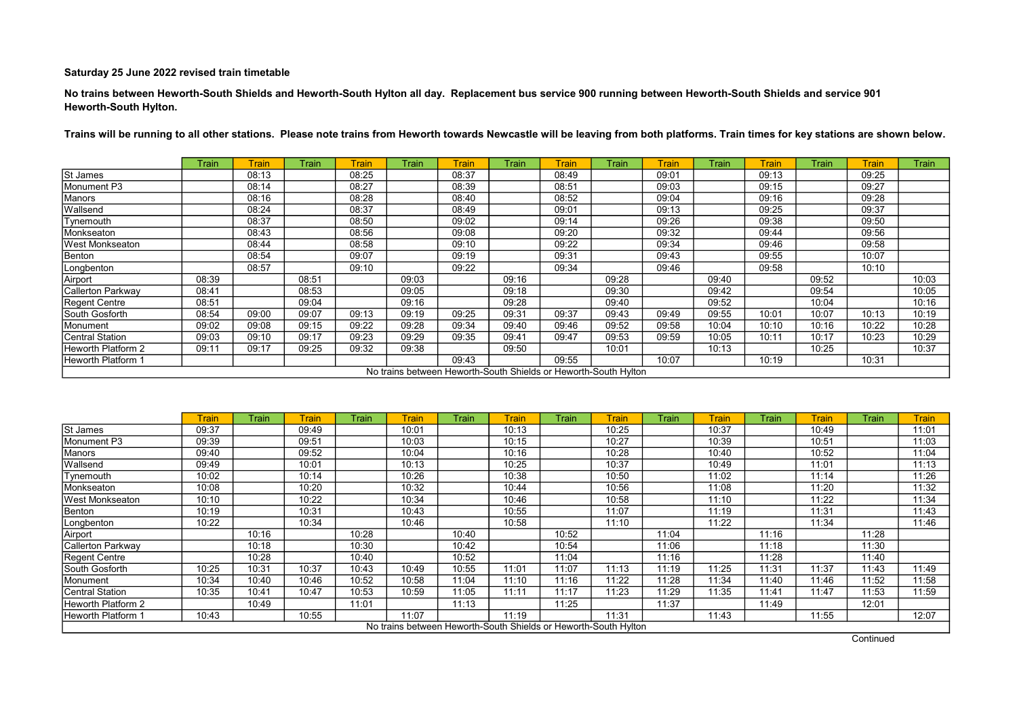No trains between Heworth-South Shields and Heworth-South Hylton all day. Replacement bus service 900 running between Heworth-South Shields and service 901 Heworth-South Hylton.

Trains will be running to all other stations. Please note trains from Heworth towards Newcastle will be leaving from both platforms. Train times for key stations are shown below.

|                           | Train | Train | Train | <b>Train</b> | Train                                                           | <b>Train</b> | Train | Train | Train | <b>Train</b> | Train | <b>Train</b> | Train | Frain | Train |
|---------------------------|-------|-------|-------|--------------|-----------------------------------------------------------------|--------------|-------|-------|-------|--------------|-------|--------------|-------|-------|-------|
| St James                  |       | 08:13 |       | 08:25        |                                                                 | 08:37        |       | 08:49 |       | 09:01        |       | 09:13        |       | 09:25 |       |
| Monument P3               |       | 08:14 |       | 08:27        |                                                                 | 08:39        |       | 08:51 |       | 09:03        |       | 09:15        |       | 09:27 |       |
| Manors                    |       | 08:16 |       | 08:28        |                                                                 | 08:40        |       | 08:52 |       | 09:04        |       | 09:16        |       | 09:28 |       |
| Wallsend                  |       | 08:24 |       | 08:37        |                                                                 | 08:49        |       | 09:01 |       | 09:13        |       | 09:25        |       | 09:37 |       |
| Tynemouth                 |       | 08:37 |       | 08:50        |                                                                 | 09:02        |       | 09:14 |       | 09:26        |       | 09:38        |       | 09:50 |       |
| Monkseaton                |       | 08:43 |       | 08:56        |                                                                 | 09:08        |       | 09:20 |       | 09:32        |       | 09:44        |       | 09:56 |       |
| West Monkseaton           |       | 08:44 |       | 08:58        |                                                                 | 09:10        |       | 09:22 |       | 09:34        |       | 09:46        |       | 09:58 |       |
| Benton                    |       | 08:54 |       | 09:07        |                                                                 | 09:19        |       | 09:31 |       | 09:43        |       | 09:55        |       | 10:07 |       |
| Longbenton                |       | 08:57 |       | 09:10        |                                                                 | 09:22        |       | 09:34 |       | 09:46        |       | 09:58        |       | 10:10 |       |
| Airport                   | 08:39 |       | 08:51 |              | 09:03                                                           |              | 09:16 |       | 09:28 |              | 09:40 |              | 09:52 |       | 10:03 |
| Callerton Parkway         | 08:41 |       | 08:53 |              | 09:05                                                           |              | 09:18 |       | 09:30 |              | 09:42 |              | 09:54 |       | 10:05 |
| <b>Regent Centre</b>      | 08:51 |       | 09:04 |              | 09:16                                                           |              | 09:28 |       | 09:40 |              | 09:52 |              | 10:04 |       | 10:16 |
| South Gosforth            | 08:54 | 09:00 | 09:07 | 09:13        | 09:19                                                           | 09:25        | 09:31 | 09:37 | 09:43 | 09:49        | 09:55 | 10:01        | 10:07 | 10:13 | 10:19 |
| Monument                  | 09:02 | 09:08 | 09:15 | 09:22        | 09:28                                                           | 09:34        | 09:40 | 09:46 | 09:52 | 09:58        | 10:04 | 10:10        | 10:16 | 10:22 | 10:28 |
| Central Station           | 09:03 | 09:10 | 09:17 | 09:23        | 09:29                                                           | 09:35        | 09:41 | 09:47 | 09:53 | 09:59        | 10:05 | 10:11        | 10:17 | 10:23 | 10:29 |
| Heworth Platform 2        | 09:11 | 09:17 | 09:25 | 09:32        | 09:38                                                           |              | 09:50 |       | 10:01 |              | 10:13 |              | 10:25 |       | 10:37 |
| <b>Heworth Platform 1</b> |       |       |       |              |                                                                 | 09:43        |       | 09:55 |       | 10:07        |       | 10:19        |       | 10:31 |       |
|                           |       |       |       |              | No trains between Heworth-South Shields or Heworth-South Hylton |              |       |       |       |              |       |              |       |       |       |

|                        | <b>Train</b> | Train | Train | Train | <b>Train</b> | Train | Train | Train | Train                                                           | Train | <b>Train</b> | Train | <b>Train</b> | Train | Train |
|------------------------|--------------|-------|-------|-------|--------------|-------|-------|-------|-----------------------------------------------------------------|-------|--------------|-------|--------------|-------|-------|
| St James               | 09:37        |       | 09:49 |       | 10:01        |       | 10:13 |       | 10:25                                                           |       | 10:37        |       | 10:49        |       | 11:01 |
| Monument P3            | 09:39        |       | 09:51 |       | 10:03        |       | 10:15 |       | 10:27                                                           |       | 10:39        |       | 10:51        |       | 11:03 |
| Manors                 | 09:40        |       | 09:52 |       | 10:04        |       | 10:16 |       | 10:28                                                           |       | 10:40        |       | 10:52        |       | 11:04 |
| Wallsend               | 09:49        |       | 10:01 |       | 10:13        |       | 10:25 |       | 10:37                                                           |       | 10:49        |       | 11:01        |       | 11:13 |
| Tynemouth              | 10:02        |       | 10:14 |       | 10:26        |       | 10:38 |       | 10:50                                                           |       | 11:02        |       | 11:14        |       | 11:26 |
| Monkseaton             | 10:08        |       | 10:20 |       | 10:32        |       | 10:44 |       | 10:56                                                           |       | 11:08        |       | 11:20        |       | 11:32 |
| <b>West Monkseaton</b> | 10:10        |       | 10:22 |       | 10:34        |       | 10:46 |       | 10:58                                                           |       | 11:10        |       | 11:22        |       | 11:34 |
| Benton                 | 10:19        |       | 10:31 |       | 10:43        |       | 10:55 |       | 11:07                                                           |       | 11:19        |       | 11:31        |       | 11:43 |
| Longbenton             | 10:22        |       | 10:34 |       | 10:46        |       | 10:58 |       | 11:10                                                           |       | 11:22        |       | 11:34        |       | 11:46 |
| Airport                |              | 10:16 |       | 10:28 |              | 10:40 |       | 10:52 |                                                                 | 11:04 |              | 11:16 |              | 11:28 |       |
| Callerton Parkway      |              | 10:18 |       | 10:30 |              | 10:42 |       | 10:54 |                                                                 | 11:06 |              | 11:18 |              | 11:30 |       |
| Regent Centre          |              | 10:28 |       | 10:40 |              | 10:52 |       | 11:04 |                                                                 | 11:16 |              | 11:28 |              | 11:40 |       |
| South Gosforth         | 10:25        | 10:31 | 10:37 | 10:43 | 10:49        | 10:55 | 11:01 | 11:07 | 11:13                                                           | 11:19 | 11:25        | 11:31 | 11:37        | 11:43 | 11:49 |
| Monument               | 10:34        | 10:40 | 10:46 | 10:52 | 10:58        | 11:04 | 11:10 | 11:16 | 11:22                                                           | 11:28 | 11:34        | 11:40 | 11:46        | 11:52 | 11:58 |
| <b>Central Station</b> | 10:35        | 10:41 | 10:47 | 10:53 | 10:59        | 11:05 | 11:11 | 11:17 | 11:23                                                           | 11:29 | 11:35        | 11:41 | 11:47        | 11:53 | 11:59 |
| Heworth Platform 2     |              | 10:49 |       | 11:01 |              | 11:13 |       | 11:25 |                                                                 | 11:37 |              | 11:49 |              | 12:01 |       |
| Heworth Platform 1     | 10:43        |       | 10:55 |       | 11:07        |       | 11:19 |       | 11:31                                                           |       | 11:43        |       | 11:55        |       | 12:07 |
|                        |              |       |       |       |              |       |       |       | No trains between Heworth-South Shields or Heworth-South Hylton |       |              |       |              |       |       |

**Continued**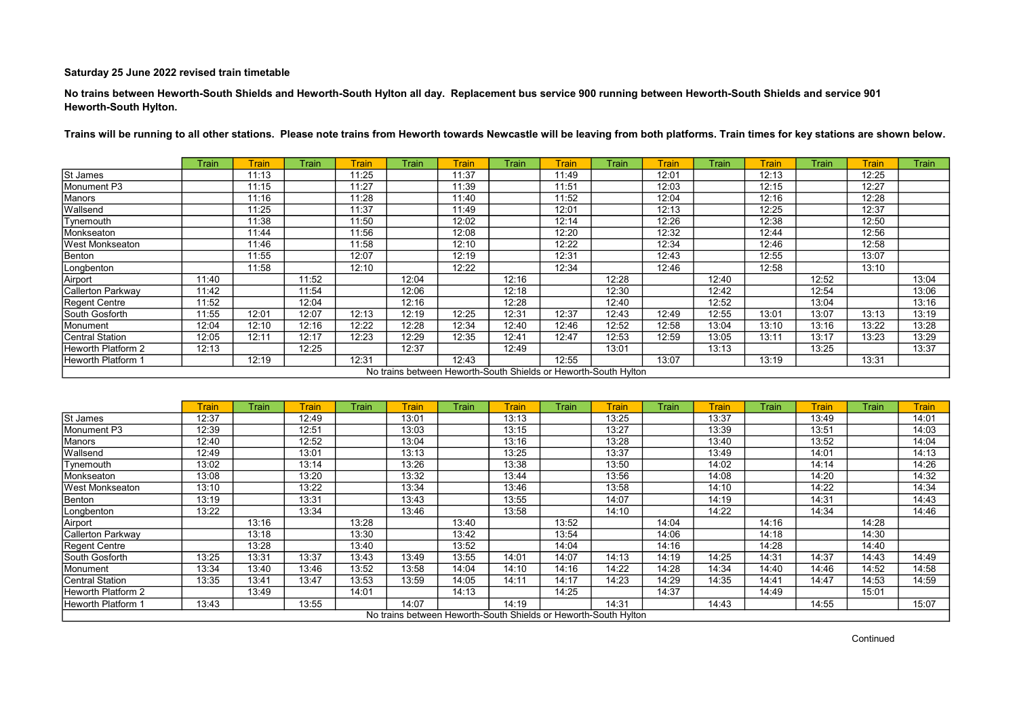No trains between Heworth-South Shields and Heworth-South Hylton all day. Replacement bus service 900 running between Heworth-South Shields and service 901 Heworth-South Hylton.

|                        | Train | <b>Train</b> | Train | <b>Train</b> | Train                                                           | <b>Train</b> | Train | <b>Train</b> | Train | <b>Train</b> | Train | <b>Train</b> | Train | <b>Train</b> | <b>Train</b> |
|------------------------|-------|--------------|-------|--------------|-----------------------------------------------------------------|--------------|-------|--------------|-------|--------------|-------|--------------|-------|--------------|--------------|
| St James               |       | 11:13        |       | 11:25        |                                                                 | 11:37        |       | 11:49        |       | 12:01        |       | 12:13        |       | 12:25        |              |
| Monument P3            |       | 11:15        |       | 11:27        |                                                                 | 11:39        |       | 11:51        |       | 12:03        |       | 12:15        |       | 12:27        |              |
| Manors                 |       | 11:16        |       | 11:28        |                                                                 | 11:40        |       | 11:52        |       | 12:04        |       | 12:16        |       | 12:28        |              |
| Wallsend               |       | 11:25        |       | 11:37        |                                                                 | 11:49        |       | 12:01        |       | 12:13        |       | 12:25        |       | 12:37        |              |
| Tynemouth              |       | 11:38        |       | 11:50        |                                                                 | 12:02        |       | 12:14        |       | 12:26        |       | 12:38        |       | 12:50        |              |
| Monkseaton             |       | 11:44        |       | 11:56        |                                                                 | 12:08        |       | 12:20        |       | 12:32        |       | 12:44        |       | 12:56        |              |
| <b>West Monkseaton</b> |       | 11:46        |       | 11:58        |                                                                 | 12:10        |       | 12:22        |       | 12:34        |       | 12:46        |       | 12:58        |              |
| Benton                 |       | 11:55        |       | 12:07        |                                                                 | 12:19        |       | 12:31        |       | 12:43        |       | 12:55        |       | 13:07        |              |
| Longbenton             |       | 11:58        |       | 12:10        |                                                                 | 12:22        |       | 12:34        |       | 12:46        |       | 12:58        |       | 13:10        |              |
| Airport                | 11:40 |              | 11:52 |              | 12:04                                                           |              | 12:16 |              | 12:28 |              | 12:40 |              | 12:52 |              | 13:04        |
| Callerton Parkway      | 11:42 |              | 11:54 |              | 12:06                                                           |              | 12:18 |              | 12:30 |              | 12:42 |              | 12:54 |              | 13:06        |
| Regent Centre          | 11:52 |              | 12:04 |              | 12:16                                                           |              | 12:28 |              | 12:40 |              | 12:52 |              | 13:04 |              | 13:16        |
| South Gosforth         | 11:55 | 12:01        | 12:07 | 12:13        | 12:19                                                           | 12:25        | 12:31 | 12:37        | 12:43 | 12:49        | 12:55 | 13:01        | 13:07 | 13:13        | 13:19        |
| Monument               | 12:04 | 12:10        | 12:16 | 12:22        | 12:28                                                           | 12:34        | 12:40 | 12:46        | 12:52 | 12:58        | 13:04 | 13:10        | 13:16 | 13:22        | 13:28        |
| Central Station        | 12:05 | 12:11        | 12:17 | 12:23        | 12:29                                                           | 12:35        | 12:41 | 12:47        | 12:53 | 12:59        | 13:05 | 13:11        | 13:17 | 13:23        | 13:29        |
| Heworth Platform 2     | 12:13 |              | 12:25 |              | 12:37                                                           |              | 12:49 |              | 13:01 |              | 13:13 |              | 13:25 |              | 13:37        |
| Heworth Platform 1     |       | 12:19        |       | 12:31        |                                                                 | 12:43        |       | 12:55        |       | 13:07        |       | 13:19        |       | 13:31        |              |
|                        |       |              |       |              | No trains between Heworth-South Shields or Heworth-South Hylton |              |       |              |       |              |       |              |       |              |              |

|                    | <b>Train</b> | Train | <b>Train</b> | Train | Train | Train | Train                                                           | Train | <b>Train</b> | Train | <b>Train</b> | Train | <b>Train</b> | Train | <b>Train</b> |
|--------------------|--------------|-------|--------------|-------|-------|-------|-----------------------------------------------------------------|-------|--------------|-------|--------------|-------|--------------|-------|--------------|
| <b>St James</b>    | 12:37        |       | 12:49        |       | 13:01 |       | 13:13                                                           |       | 13:25        |       | 13:37        |       | 13:49        |       | 14:01        |
| Monument P3        | 12:39        |       | 12:51        |       | 13:03 |       | 13:15                                                           |       | 13:27        |       | 13:39        |       | 13:51        |       | 14:03        |
| Manors             | 12:40        |       | 12:52        |       | 13:04 |       | 13:16                                                           |       | 13:28        |       | 13:40        |       | 13:52        |       | 14:04        |
| Wallsend           | 12:49        |       | 13:01        |       | 13:13 |       | 13:25                                                           |       | 13:37        |       | 13:49        |       | 14:01        |       | 14:13        |
| Tynemouth          | 13:02        |       | 13:14        |       | 13:26 |       | 13:38                                                           |       | 13:50        |       | 14:02        |       | 14:14        |       | 14:26        |
| Monkseaton         | 13:08        |       | 13:20        |       | 13:32 |       | 13:44                                                           |       | 13:56        |       | 14:08        |       | 14:20        |       | 14:32        |
| West Monkseaton    | 13:10        |       | 13:22        |       | 13:34 |       | 13:46                                                           |       | 13:58        |       | 14:10        |       | 14:22        |       | 14:34        |
| Benton             | 13:19        |       | 13:31        |       | 13:43 |       | 13:55                                                           |       | 14:07        |       | 14:19        |       | 14:31        |       | 14:43        |
| Longbenton         | 13:22        |       | 13:34        |       | 13:46 |       | 13:58                                                           |       | 14:10        |       | 14:22        |       | 14:34        |       | 14:46        |
| Airport            |              | 13:16 |              | 13:28 |       | 13:40 |                                                                 | 13:52 |              | 14:04 |              | 14:16 |              | 14:28 |              |
| Callerton Parkway  |              | 13:18 |              | 13:30 |       | 13:42 |                                                                 | 13:54 |              | 14:06 |              | 14:18 |              | 14:30 |              |
| Regent Centre      |              | 13:28 |              | 13:40 |       | 13:52 |                                                                 | 14:04 |              | 14:16 |              | 14:28 |              | 14:40 |              |
| South Gosforth     | 13:25        | 13:31 | 13:37        | 13:43 | 13:49 | 13:55 | 14:01                                                           | 14:07 | 14:13        | 14:19 | 14:25        | 14:31 | 14:37        | 14:43 | 14:49        |
| Monument           | 13:34        | 13:40 | 13:46        | 13:52 | 13:58 | 14:04 | 14:10                                                           | 14:16 | 14:22        | 14:28 | 14:34        | 14:40 | 14:46        | 14:52 | 14:58        |
| Central Station    | 13:35        | 13:41 | 13:47        | 13:53 | 13:59 | 14:05 | 14:11                                                           | 14:17 | 14:23        | 14:29 | 14:35        | 14:41 | 14:47        | 14:53 | 14:59        |
| Heworth Platform 2 |              | 13:49 |              | 14:01 |       | 14:13 |                                                                 | 14:25 |              | 14:37 |              | 14:49 |              | 15:01 |              |
| Heworth Platform 1 | 13:43        |       | 13:55        |       | 14:07 |       | 14:19                                                           |       | 14:31        |       | 14:43        |       | 14:55        |       | 15:07        |
|                    |              |       |              |       |       |       | No trains between Heworth-South Shields or Heworth-South Hylton |       |              |       |              |       |              |       |              |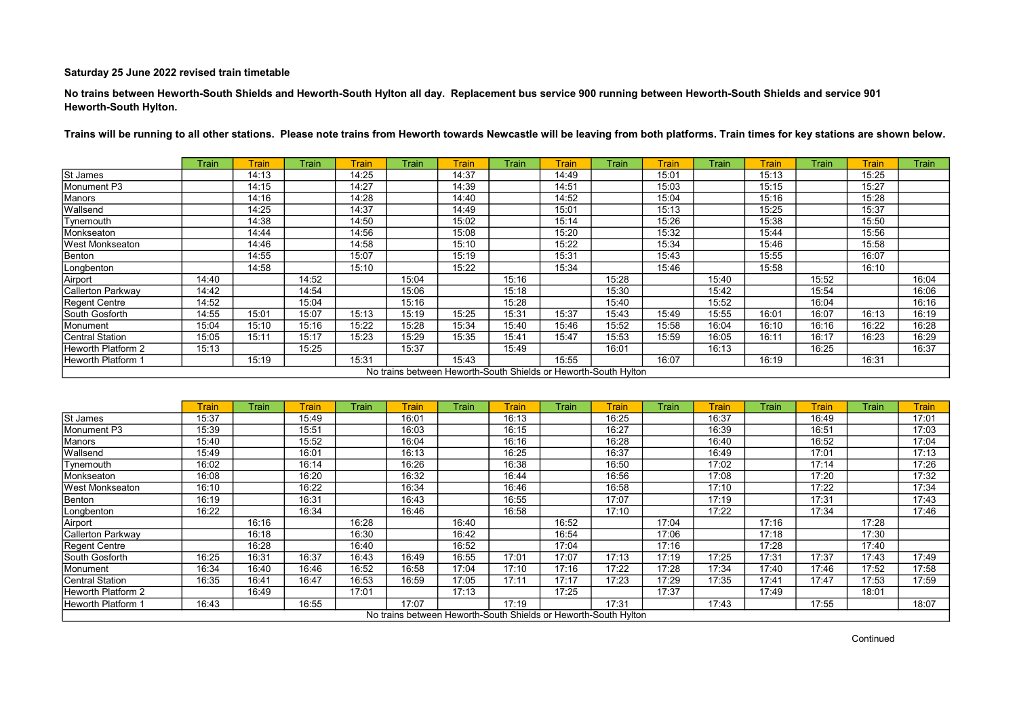No trains between Heworth-South Shields and Heworth-South Hylton all day. Replacement bus service 900 running between Heworth-South Shields and service 901 Heworth-South Hylton.

|                        | Train | <b>Train</b> | Train | <b>Train</b> | Train | <b>Train</b>                                                    | Train | <b>Train</b> | Train | <b>Train</b> | Train | <b>Train</b> | Train | <b>Train</b> | <b>Train</b> |
|------------------------|-------|--------------|-------|--------------|-------|-----------------------------------------------------------------|-------|--------------|-------|--------------|-------|--------------|-------|--------------|--------------|
| St James               |       | 14:13        |       | 14:25        |       | 14:37                                                           |       | 14:49        |       | 15:01        |       | 15:13        |       | 15:25        |              |
| Monument P3            |       | 14:15        |       | 14:27        |       | 14:39                                                           |       | 14:51        |       | 15:03        |       | 15:15        |       | 15:27        |              |
| Manors                 |       | 14:16        |       | 14:28        |       | 14:40                                                           |       | 14:52        |       | 15:04        |       | 15:16        |       | 15:28        |              |
| Wallsend               |       | 14:25        |       | 14:37        |       | 14:49                                                           |       | 15:01        |       | 15:13        |       | 15:25        |       | 15:37        |              |
| Tynemouth              |       | 14:38        |       | 14:50        |       | 15:02                                                           |       | 15:14        |       | 15:26        |       | 15:38        |       | 15:50        |              |
| Monkseaton             |       | 14:44        |       | 14:56        |       | 15:08                                                           |       | 15:20        |       | 15:32        |       | 15:44        |       | 15:56        |              |
| <b>West Monkseaton</b> |       | 14:46        |       | 14:58        |       | 15:10                                                           |       | 15:22        |       | 15:34        |       | 15:46        |       | 15:58        |              |
| Benton                 |       | 14:55        |       | 15:07        |       | 15:19                                                           |       | 15:31        |       | 15:43        |       | 15:55        |       | 16:07        |              |
| Longbenton             |       | 14:58        |       | 15:10        |       | 15:22                                                           |       | 15:34        |       | 15:46        |       | 15:58        |       | 16:10        |              |
| Airport                | 14:40 |              | 14:52 |              | 15:04 |                                                                 | 15:16 |              | 15:28 |              | 15:40 |              | 15:52 |              | 16:04        |
| Callerton Parkway      | 14:42 |              | 14:54 |              | 15:06 |                                                                 | 15:18 |              | 15:30 |              | 15:42 |              | 15:54 |              | 16:06        |
| Regent Centre          | 14:52 |              | 15:04 |              | 15:16 |                                                                 | 15:28 |              | 15:40 |              | 15:52 |              | 16:04 |              | 16:16        |
| South Gosforth         | 14:55 | 15:01        | 15:07 | 15:13        | 15:19 | 15:25                                                           | 15:31 | 15:37        | 15:43 | 15:49        | 15:55 | 16:01        | 16:07 | 16:13        | 16:19        |
| Monument               | 15:04 | 15:10        | 15:16 | 15:22        | 15:28 | 15:34                                                           | 15:40 | 15:46        | 15:52 | 15:58        | 16:04 | 16:10        | 16:16 | 16:22        | 16:28        |
| Central Station        | 15:05 | 15:11        | 15:17 | 15:23        | 15:29 | 15:35                                                           | 15:41 | 15:47        | 15:53 | 15:59        | 16:05 | 16:11        | 16:17 | 16:23        | 16:29        |
| Heworth Platform 2     | 15:13 |              | 15:25 |              | 15:37 |                                                                 | 15:49 |              | 16:01 |              | 16:13 |              | 16:25 |              | 16:37        |
| Heworth Platform 1     |       | 15:19        |       | 15:31        |       | 15:43                                                           |       | 15:55        |       | 16:07        |       | 16:19        |       | 16:31        |              |
|                        |       |              |       |              |       | No trains between Heworth-South Shields or Heworth-South Hylton |       |              |       |              |       |              |       |              |              |

|                    | <b>Train</b> | Train | <b>Train</b> | Train | Train | Train | Train                                                           | Train | <b>Train</b> | Train | <b>Train</b> | Train | <b>Train</b> | Train | <b>Train</b> |
|--------------------|--------------|-------|--------------|-------|-------|-------|-----------------------------------------------------------------|-------|--------------|-------|--------------|-------|--------------|-------|--------------|
| <b>St James</b>    | 15:37        |       | 15:49        |       | 16:01 |       | 16:13                                                           |       | 16:25        |       | 16:37        |       | 16:49        |       | 17:01        |
| Monument P3        | 15:39        |       | 15:51        |       | 16:03 |       | 16:15                                                           |       | 16:27        |       | 16:39        |       | 16:51        |       | 17:03        |
| Manors             | 15:40        |       | 15:52        |       | 16:04 |       | 16:16                                                           |       | 16:28        |       | 16:40        |       | 16:52        |       | 17:04        |
| Wallsend           | 15:49        |       | 16:01        |       | 16:13 |       | 16:25                                                           |       | 16:37        |       | 16:49        |       | 17:01        |       | 17:13        |
| Tynemouth          | 16:02        |       | 16:14        |       | 16:26 |       | 16:38                                                           |       | 16:50        |       | 17:02        |       | 17:14        |       | 17:26        |
| Monkseaton         | 16:08        |       | 16:20        |       | 16:32 |       | 16:44                                                           |       | 16:56        |       | 17:08        |       | 17:20        |       | 17:32        |
| West Monkseaton    | 16:10        |       | 16:22        |       | 16:34 |       | 16:46                                                           |       | 16:58        |       | 17:10        |       | 17:22        |       | 17:34        |
| Benton             | 16:19        |       | 16:31        |       | 16:43 |       | 16:55                                                           |       | 17:07        |       | 17:19        |       | 17:31        |       | 17:43        |
| Longbenton         | 16:22        |       | 16:34        |       | 16:46 |       | 16:58                                                           |       | 17:10        |       | 17:22        |       | 17:34        |       | 17:46        |
| Airport            |              | 16:16 |              | 16:28 |       | 16:40 |                                                                 | 16:52 |              | 17:04 |              | 17:16 |              | 17:28 |              |
| Callerton Parkway  |              | 16:18 |              | 16:30 |       | 16:42 |                                                                 | 16:54 |              | 17:06 |              | 17:18 |              | 17:30 |              |
| Regent Centre      |              | 16:28 |              | 16:40 |       | 16:52 |                                                                 | 17:04 |              | 17:16 |              | 17:28 |              | 17:40 |              |
| South Gosforth     | 16:25        | 16:31 | 16:37        | 16:43 | 16:49 | 16:55 | 17:01                                                           | 17:07 | 17:13        | 17:19 | 17:25        | 17:31 | 17:37        | 17:43 | 17:49        |
| Monument           | 16:34        | 16:40 | 16:46        | 16:52 | 16:58 | 17:04 | 17:10                                                           | 17:16 | 17:22        | 17:28 | 17:34        | 17:40 | 17:46        | 17:52 | 17:58        |
| Central Station    | 16:35        | 16:41 | 16:47        | 16:53 | 16:59 | 17:05 | 17:11                                                           | 17:17 | 17:23        | 17:29 | 17:35        | 17:41 | 17:47        | 17:53 | 17:59        |
| Heworth Platform 2 |              | 16:49 |              | 17:01 |       | 17:13 |                                                                 | 17:25 |              | 17:37 |              | 17:49 |              | 18:01 |              |
| Heworth Platform 1 | 16:43        |       | 16:55        |       | 17:07 |       | 17:19                                                           |       | 17:31        |       | 17:43        |       | 17:55        |       | 18:07        |
|                    |              |       |              |       |       |       | No trains between Heworth-South Shields or Heworth-South Hylton |       |              |       |              |       |              |       |              |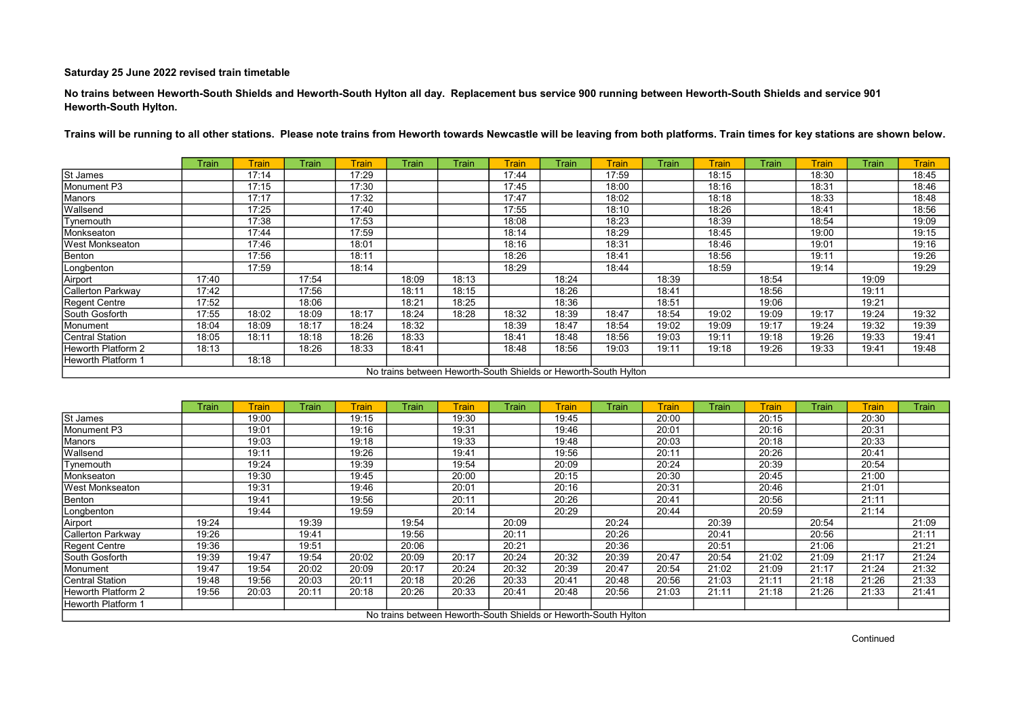No trains between Heworth-South Shields and Heworth-South Hylton all day. Replacement bus service 900 running between Heworth-South Shields and service 901 Heworth-South Hylton.

|                    | Train | Train | Train | <b>Train</b> | Train                                                           | Train | Train | Train | Train | Train | <b>Train</b> | Train | Train | Train | <b>Train</b> |
|--------------------|-------|-------|-------|--------------|-----------------------------------------------------------------|-------|-------|-------|-------|-------|--------------|-------|-------|-------|--------------|
| <b>St James</b>    |       | 17:14 |       | 17:29        |                                                                 |       | 17:44 |       | 17:59 |       | 18:15        |       | 18:30 |       | 18:45        |
| Monument P3        |       | 17:15 |       | 17:30        |                                                                 |       | 17:45 |       | 18:00 |       | 18:16        |       | 18:31 |       | 18:46        |
| Manors             |       | 17:17 |       | 17:32        |                                                                 |       | 17:47 |       | 18:02 |       | 18:18        |       | 18:33 |       | 18:48        |
| Wallsend           |       | 17:25 |       | 17:40        |                                                                 |       | 17:55 |       | 18:10 |       | 18:26        |       | 18:41 |       | 18:56        |
| Tynemouth          |       | 17:38 |       | 17:53        |                                                                 |       | 18:08 |       | 18:23 |       | 18:39        |       | 18:54 |       | 19:09        |
| Monkseaton         |       | 17:44 |       | 17:59        |                                                                 |       | 18:14 |       | 18:29 |       | 18:45        |       | 19:00 |       | 19:15        |
| West Monkseaton    |       | 17:46 |       | 18:01        |                                                                 |       | 18:16 |       | 18:31 |       | 18:46        |       | 19:01 |       | 19:16        |
| Benton             |       | 17:56 |       | 18:11        |                                                                 |       | 18:26 |       | 18:41 |       | 18:56        |       | 19:11 |       | 19:26        |
| Longbenton         |       | 17:59 |       | 18:14        |                                                                 |       | 18:29 |       | 18:44 |       | 18:59        |       | 19:14 |       | 19:29        |
| Airport            | 17:40 |       | 17:54 |              | 18:09                                                           | 18:13 |       | 18:24 |       | 18:39 |              | 18:54 |       | 19:09 |              |
| Callerton Parkway  | 17:42 |       | 17:56 |              | 18:11                                                           | 18:15 |       | 18:26 |       | 18:41 |              | 18:56 |       | 19:11 |              |
| Regent Centre      | 17:52 |       | 18:06 |              | 18:21                                                           | 18:25 |       | 18:36 |       | 18:51 |              | 19:06 |       | 19:21 |              |
| South Gosforth     | 17:55 | 18:02 | 18:09 | 18:17        | 18:24                                                           | 18:28 | 18:32 | 18:39 | 18:47 | 18:54 | 19:02        | 19:09 | 19:17 | 19:24 | 19:32        |
| Monument           | 18:04 | 18:09 | 18:17 | 18:24        | 18:32                                                           |       | 18:39 | 18:47 | 18:54 | 19:02 | 19:09        | 19:17 | 19:24 | 19:32 | 19:39        |
| Central Station    | 18:05 | 18:11 | 18:18 | 18:26        | 18:33                                                           |       | 18:41 | 18:48 | 18:56 | 19:03 | 19:11        | 19:18 | 19:26 | 19:33 | 19:41        |
| Heworth Platform 2 | 18:13 |       | 18:26 | 18:33        | 18:41                                                           |       | 18:48 | 18:56 | 19:03 | 19:11 | 19:18        | 19:26 | 19:33 | 19:41 | 19:48        |
| Heworth Platform 1 |       | 18:18 |       |              |                                                                 |       |       |       |       |       |              |       |       |       |              |
|                    |       |       |       |              | No trains between Heworth-South Shields or Heworth-South Hylton |       |       |       |       |       |              |       |       |       |              |

|                           | Train | <b>Train</b> | Train | <b>Train</b> | Train | <b>Train</b> | Train                                                           | <b>Train</b> | Train | Train | Train | <b>Train</b> | Train | <b>Train</b> | Train |
|---------------------------|-------|--------------|-------|--------------|-------|--------------|-----------------------------------------------------------------|--------------|-------|-------|-------|--------------|-------|--------------|-------|
| St James                  |       | 19:00        |       | 19:15        |       | 19:30        |                                                                 | 19:45        |       | 20:00 |       | 20:15        |       | 20:30        |       |
| Monument P3               |       | 19:01        |       | 19:16        |       | 19:31        |                                                                 | 19:46        |       | 20:01 |       | 20:16        |       | 20:31        |       |
| Manors                    |       | 19:03        |       | 19:18        |       | 19:33        |                                                                 | 19:48        |       | 20:03 |       | 20:18        |       | 20:33        |       |
| Wallsend                  |       | 19:11        |       | 19:26        |       | 19:41        |                                                                 | 19:56        |       | 20:11 |       | 20:26        |       | 20:41        |       |
| Tynemouth                 |       | 19:24        |       | 19:39        |       | 19:54        |                                                                 | 20:09        |       | 20:24 |       | 20:39        |       | 20:54        |       |
| Monkseaton                |       | 19:30        |       | 19:45        |       | 20:00        |                                                                 | 20:15        |       | 20:30 |       | 20:45        |       | 21:00        |       |
| West Monkseaton           |       | 19:31        |       | 19:46        |       | 20:01        |                                                                 | 20:16        |       | 20:31 |       | 20:46        |       | 21:01        |       |
| Benton                    |       | 19:41        |       | 19:56        |       | 20:11        |                                                                 | 20:26        |       | 20:41 |       | 20:56        |       | 21:11        |       |
| Longbenton                |       | 19:44        |       | 19:59        |       | 20:14        |                                                                 | 20:29        |       | 20:44 |       | 20:59        |       | 21:14        |       |
| Airport                   | 19:24 |              | 19:39 |              | 19:54 |              | 20:09                                                           |              | 20:24 |       | 20:39 |              | 20:54 |              | 21:09 |
| Callerton Parkway         | 19:26 |              | 19:41 |              | 19:56 |              | 20:11                                                           |              | 20:26 |       | 20:41 |              | 20:56 |              | 21:11 |
| Regent Centre             | 19:36 |              | 19:51 |              | 20:06 |              | 20:21                                                           |              | 20:36 |       | 20:51 |              | 21:06 |              | 21:21 |
| South Gosforth            | 19:39 | 19:47        | 19:54 | 20:02        | 20:09 | 20:17        | 20:24                                                           | 20:32        | 20:39 | 20:47 | 20:54 | 21:02        | 21:09 | 21:17        | 21:24 |
| Monument                  | 19:47 | 19:54        | 20:02 | 20:09        | 20:17 | 20:24        | 20:32                                                           | 20:39        | 20:47 | 20:54 | 21:02 | 21:09        | 21:17 | 21:24        | 21:32 |
| Central Station           | 19:48 | 19:56        | 20:03 | 20:11        | 20:18 | 20:26        | 20:33                                                           | 20:41        | 20:48 | 20:56 | 21:03 | 21:11        | 21:18 | 21:26        | 21:33 |
| Heworth Platform 2        | 19:56 | 20:03        | 20:11 | 20:18        | 20:26 | 20:33        | 20:41                                                           | 20:48        | 20:56 | 21:03 | 21:11 | 21:18        | 21:26 | 21:33        | 21:41 |
| <b>Heworth Platform 1</b> |       |              |       |              |       |              |                                                                 |              |       |       |       |              |       |              |       |
|                           |       |              |       |              |       |              | No trains between Heworth-South Shields or Heworth-South Hylton |              |       |       |       |              |       |              |       |